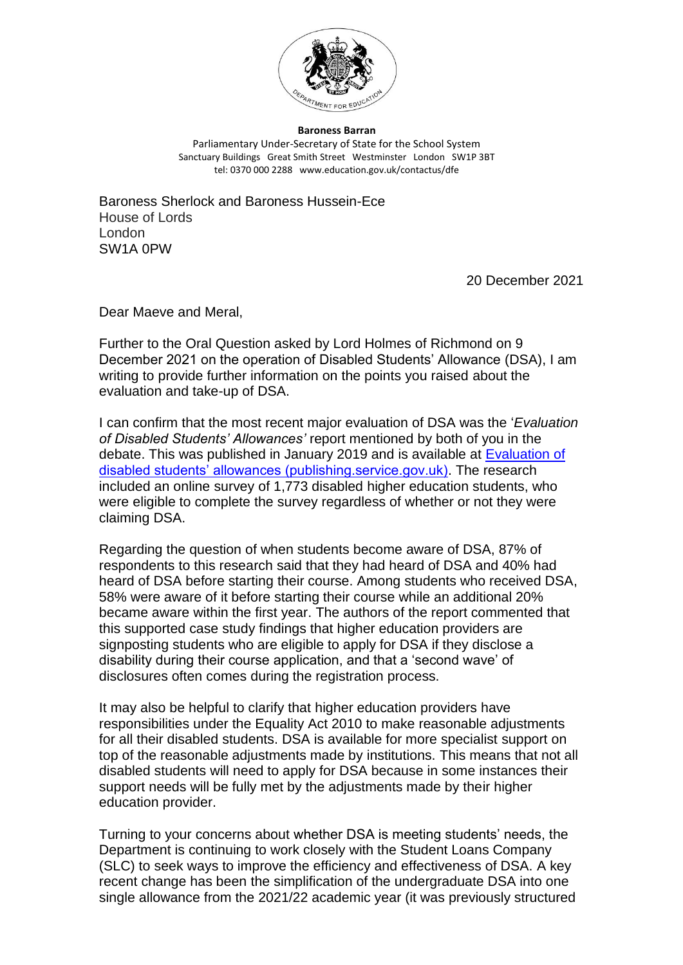

## **Baroness Barran**

Parliamentary Under-Secretary of State for the School System Sanctuary Buildings Great Smith Street Westminster London SW1P 3BT tel: 0370 000 2288 www.education.gov.uk/contactus/dfe

Baroness Sherlock and Baroness Hussein-Ece House of Lords London SW1A 0PW

20 December 2021

Dear Maeve and Meral,

Further to the Oral Question asked by Lord Holmes of Richmond on 9 December 2021 on the operation of Disabled Students' Allowance (DSA), I am writing to provide further information on the points you raised about the evaluation and take-up of DSA.

I can confirm that the most recent major evaluation of DSA was the '*Evaluation of Disabled Students' Allowances'* report mentioned by both of you in the debate. This was published in January 2019 and is available at **Evaluation of** [disabled students' allowances \(publishing.service.gov.uk\).](https://assets.publishing.service.gov.uk/government/uploads/system/uploads/attachment_data/file/915042/Evaluation_of_disabled_students_allowances.pdf) The research included an online survey of 1,773 disabled higher education students, who were eligible to complete the survey regardless of whether or not they were claiming DSA.

Regarding the question of when students become aware of DSA, 87% of respondents to this research said that they had heard of DSA and 40% had heard of DSA before starting their course. Among students who received DSA, 58% were aware of it before starting their course while an additional 20% became aware within the first year. The authors of the report commented that this supported case study findings that higher education providers are signposting students who are eligible to apply for DSA if they disclose a disability during their course application, and that a 'second wave' of disclosures often comes during the registration process.

It may also be helpful to clarify that higher education providers have responsibilities under the Equality Act 2010 to make reasonable adjustments for all their disabled students. DSA is available for more specialist support on top of the reasonable adjustments made by institutions. This means that not all disabled students will need to apply for DSA because in some instances their support needs will be fully met by the adjustments made by their higher education provider.

Turning to your concerns about whether DSA is meeting students' needs, the Department is continuing to work closely with the Student Loans Company (SLC) to seek ways to improve the efficiency and effectiveness of DSA. A key recent change has been the simplification of the undergraduate DSA into one single allowance from the 2021/22 academic year (it was previously structured